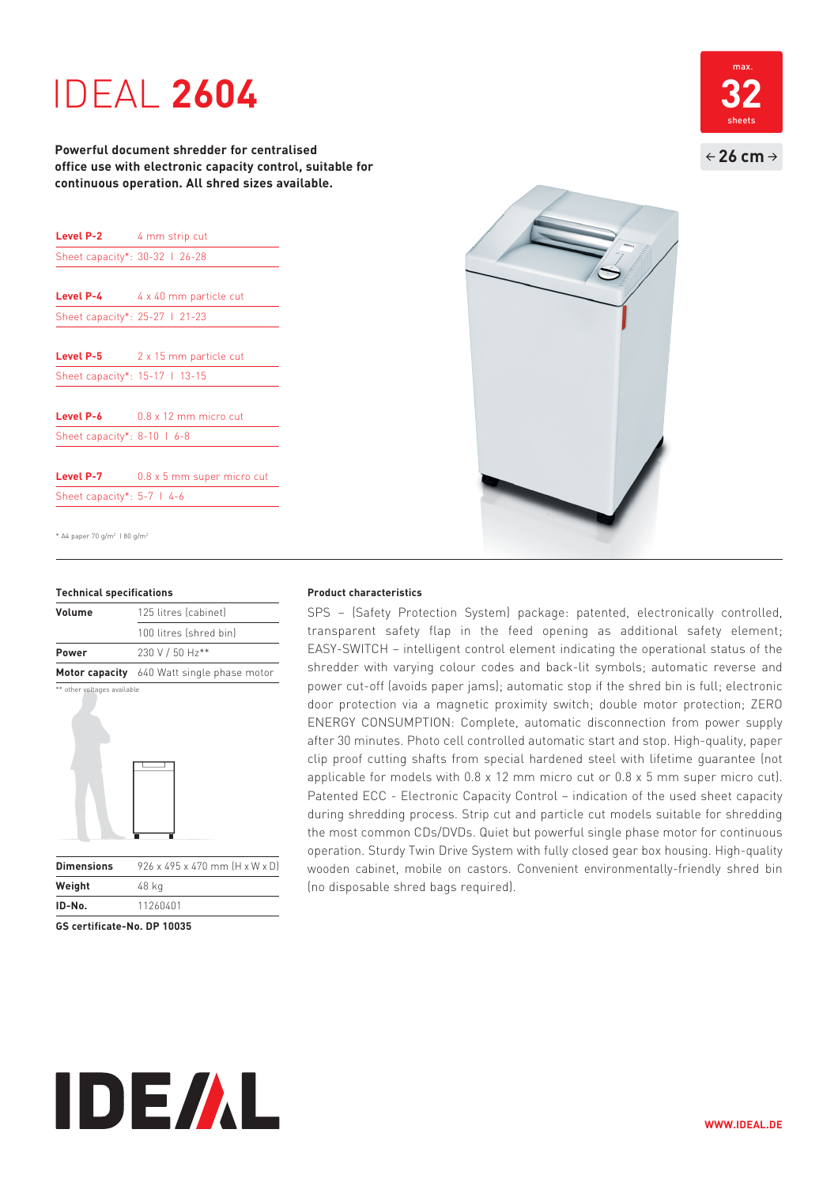# **1DEAL 2604**

**Powerful document shredder for centralised office use with electronic capacity control, suitable for continuous operation. All shred sizes available.**

| <b>Level P-2</b> 4 mm strip cut |                              |
|---------------------------------|------------------------------|
| Sheet capacity*: 30-32   26-28  |                              |
|                                 |                              |
| Level P-4                       | 4 x 40 mm particle cut       |
| Sheet capacity*: 25-27   21-23  |                              |
|                                 |                              |
| Level P-5                       | 2 x 15 mm particle cut       |
| Sheet capacity*: 15-17   13-15  |                              |
|                                 |                              |
| Level P-6                       | $0.8 \times 12$ mm micro cut |
| Sheet capacity*: 8-10   6-8     |                              |
|                                 |                              |
| Level P-7                       | 0.8 x 5 mm super micro cut   |
| Sheet capacity*: $5-7$   4-6    |                              |

\* A4 paper 70 g/m2 I 80 g/m2

### **Technical specifications**

| Volume                      | 125 litres (cabinet)                       |
|-----------------------------|--------------------------------------------|
|                             | 100 litres (shred bin)                     |
| Power                       | 230 V / 50 Hz**                            |
|                             | Motor capacity 640 Watt single phase motor |
| ** other voltages available |                                            |



**IDE/AL** 

**ID-No.** 11260401 **GS certificate-No. DP 10035**

**Weight** 48 kg



SPS – (Safety Protection System) package: patented, electronically controlled, transparent safety flap in the feed opening as additional safety element; EASY-SWITCH – intelligent control element indicating the operational status of the shredder with varying colour codes and back-lit symbols; automatic reverse and power cut-off (avoids paper jams); automatic stop if the shred bin is full; electronic door protection via a magnetic proximity switch; double motor protection; ZERO ENERGY CONSUMPTION: Complete, automatic disconnection from power supply after 30 minutes. Photo cell controlled automatic start and stop. High-quality, paper clip proof cutting shafts from special hardened steel with lifetime guarantee (not applicable for models with 0.8 x 12 mm micro cut or 0.8 x 5 mm super micro cut). Patented ECC - Electronic Capacity Control – indication of the used sheet capacity during shredding process. Strip cut and particle cut models suitable for shredding the most common CDs/DVDs. Quiet but powerful single phase motor for continuous operation. Sturdy Twin Drive System with fully closed gear box housing. High-quality wooden cabinet, mobile on castors. Convenient environmentally-friendly shred bin (no disposable shred bags required).



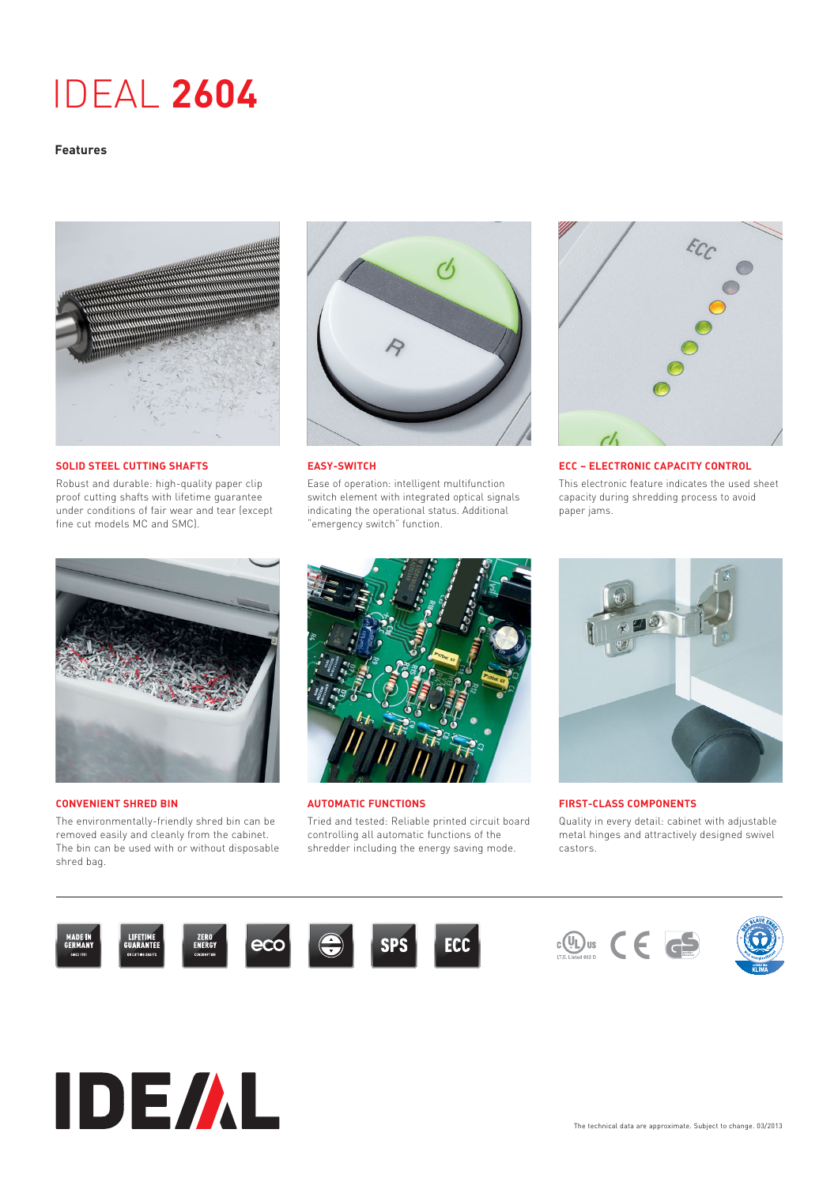# IDEAL **2604**

### **Features**



**SOLID STEEL CUTTING SHAFTS**

Robust and durable: high-quality paper clip proof cutting shafts with lifetime guarantee under conditions of fair wear and tear (except fine cut models MC and SMC).



**EASY-SWITCH**

Ease of operation: intelligent multifunction switch element with integrated optical signals indicating the operational status. Additional "emergency switch" function.



**ECC – ELECTRONIC CAPACITY CONTROL** This electronic feature indicates the used sheet capacity during shredding process to avoid paper jams.



### **CONVENIENT SHRED BIN**

The environmentally-friendly shred bin can be removed easily and cleanly from the cabinet. The bin can be used with or without disposable shred bag.



**AUTOMATIC FUNCTIONS**

Tried and tested: Reliable printed circuit board controlling all automatic functions of the shredder including the energy saving mode.



**FIRST-CLASS COMPONENTS**

Quality in every detail: cabinet with adjustable metal hinges and attractively designed swivel castors.